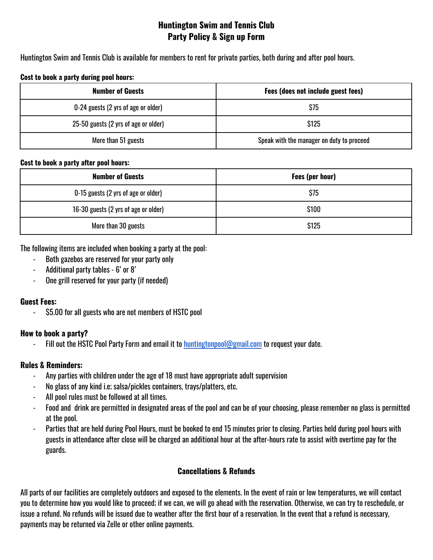# **Huntington Swim and Tennis Club Party Policy & Sign up Form**

Huntington Swim and Tennis Club is available for members to rent for private parties, both during and after pool hours.

#### **Cost to book a party during pool hours:**

| <b>Number of Guests</b>              | Fees (does not include guest fees)        |
|--------------------------------------|-------------------------------------------|
| 0-24 guests (2 yrs of age or older)  | \$75                                      |
| 25-50 guests (2 yrs of age or older) | <b>S125</b>                               |
| More than 51 guests                  | Speak with the manager on duty to proceed |

#### **Cost to book a party after pool hours:**

| <b>Number of Guests</b>              | Fees (per hour) |
|--------------------------------------|-----------------|
| 0-15 guests (2 yrs of age or older)  | \$75            |
| 16-30 guests (2 yrs of age or older) | \$100           |
| More than 30 guests                  | \$125           |

The following items are included when booking a party at the pool:

- Both gazebos are reserved for your party only
- Additional party tables 6' or 8'
- One grill reserved for your party (if needed)

## **Guest Fees:**

- \$5.00 for all guests who are not members of HSTC pool

## **How to book a party?**

Fill out the HSTC Pool Party Form and email it to [huntingtonpool@gmail.com](mailto:huntingtonpool@gmail.com) to request your date.

## **Rules & Reminders:**

- Any parties with children under the age of 18 must have appropriate adult supervision
- No glass of any kind i.e; salsa/pickles containers, trays/platters, etc.
- All pool rules must be followed at all times.
- Food and drink are permitted in designated areas of the pool and can be of your choosing, please remember no glass is permitted at the pool.
- Parties that are held during Pool Hours, must be booked to end 15 minutes prior to closing. Parties held during pool hours with guests in attendance after close will be charged an additional hour at the after-hours rate to assist with overtime pay for the guards.

## **Cancellations & Refunds**

All parts of our facilities are completely outdoors and exposed to the elements. In the event of rain or low temperatures, we will contact you to determine how you would like to proceed; if we can, we will go ahead with the reservation. Otherwise, we can try to reschedule, or issue a refund. No refunds will be issued due to weather after the first hour of a reservation. In the event that a refund is necessary, payments may be returned via Zelle or other online payments.